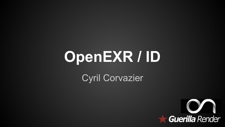# **OpenEXR / ID**

#### Cyril Corvazier

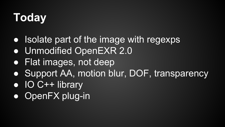# **Today**

- Isolate part of the image with regexps
- Unmodified OpenEXR 2.0
- Flat images, not deep
- Support AA, motion blur, DOF, transparency
- IO C++ library
- OpenFX plug-in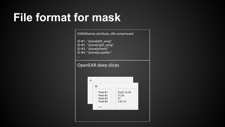# **File format for mask**

EXRIdNames attribute, zlib compressed

ID #1 : "plane|left\_wing" ID #2 : "plane|right\_wing" ID #3 : "plane|wheels" ID #4 : "plane|propeller"

#### OpenEXR deep slices

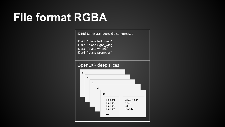# **File format RGBA**

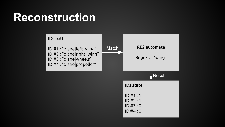#### **Reconstruction**

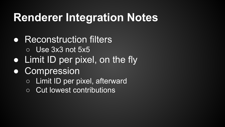# **Renderer Integration Notes**

- **Reconstruction filters** 
	- $\circ$  Use 3x3 not 5x5
- Limit ID per pixel, on the fly
- **Compression** 
	- Limit ID per pixel, afterward
	- Cut lowest contributions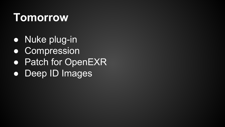### **Tomorrow**

- Nuke plug-in
- Compression
- Patch for OpenEXR
- Deep ID Images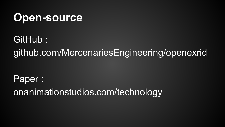#### **Open-source**

#### GitHub : github.com/MercenariesEngineering/openexrid

Paper : onanimationstudios.com/technology